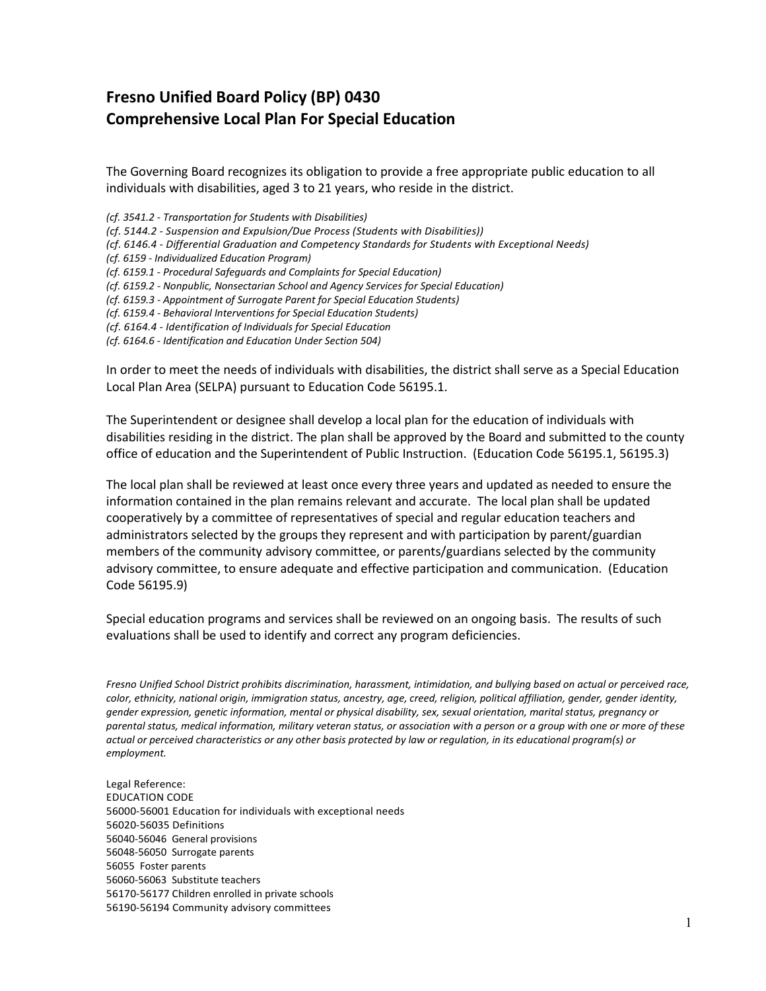## **Fresno Unified Board Policy (BP) 0430 Comprehensive Local Plan For Special Education**

The Governing Board recognizes its obligation to provide a free appropriate public education to all individuals with disabilities, aged 3 to 21 years, who reside in the district.

*(cf. 3541.2 - Transportation for Students with Disabilities)*

*(cf. 5144.2 - Suspension and Expulsion/Due Process (Students with Disabilities))*

- *(cf. 6146.4 - Differential Graduation and Competency Standards for Students with Exceptional Needs)*
- *(cf. 6159 - Individualized Education Program)*

*(cf. 6159.1 - Procedural Safeguards and Complaints for Special Education)*

*(cf. 6159.2 - Nonpublic, Nonsectarian School and Agency Services for Special Education)*

*(cf. 6159.3 - Appointment of Surrogate Parent for Special Education Students)*

*(cf. 6159.4 - Behavioral Interventions for Special Education Students)*

*(cf. 6164.4 - Identification of Individuals for Special Education*

*(cf. 6164.6 - Identification and Education Under Section 504)*

In order to meet the needs of individuals with disabilities, the district shall serve as a Special Education Local Plan Area (SELPA) pursuant to Education Code 56195.1.

The Superintendent or designee shall develop a local plan for the education of individuals with disabilities residing in the district. The plan shall be approved by the Board and submitted to the county office of education and the Superintendent of Public Instruction. (Education Code 56195.1, 56195.3)

The local plan shall be reviewed at least once every three years and updated as needed to ensure the information contained in the plan remains relevant and accurate. The local plan shall be updated cooperatively by a committee of representatives of special and regular education teachers and administrators selected by the groups they represent and with participation by parent/guardian members of the community advisory committee, or parents/guardians selected by the community advisory committee, to ensure adequate and effective participation and communication. (Education Code 56195.9)

Special education programs and services shall be reviewed on an ongoing basis. The results of such evaluations shall be used to identify and correct any program deficiencies.

*Fresno Unified School District prohibits discrimination, harassment, intimidation, and bullying based on actual or perceived race, color, ethnicity, national origin, immigration status, ancestry, age, creed, religion, political affiliation, gender, gender identity, gender expression, genetic information, mental or physical disability, sex, sexual orientation, marital status, pregnancy or parental status, medical information, military veteran status, or association with a person or a group with one or more of these actual or perceived characteristics or any other basis protected by law or regulation, in its educational program(s) or employment.*

Legal Reference: EDUCATION CODE 56000-56001 Education for individuals with exceptional needs 56020-56035 Definitions 56040-56046 General provisions 56048-56050 Surrogate parents 56055 Foster parents 56060-56063 Substitute teachers 56170-56177 Children enrolled in private schools 56190-56194 Community advisory committees